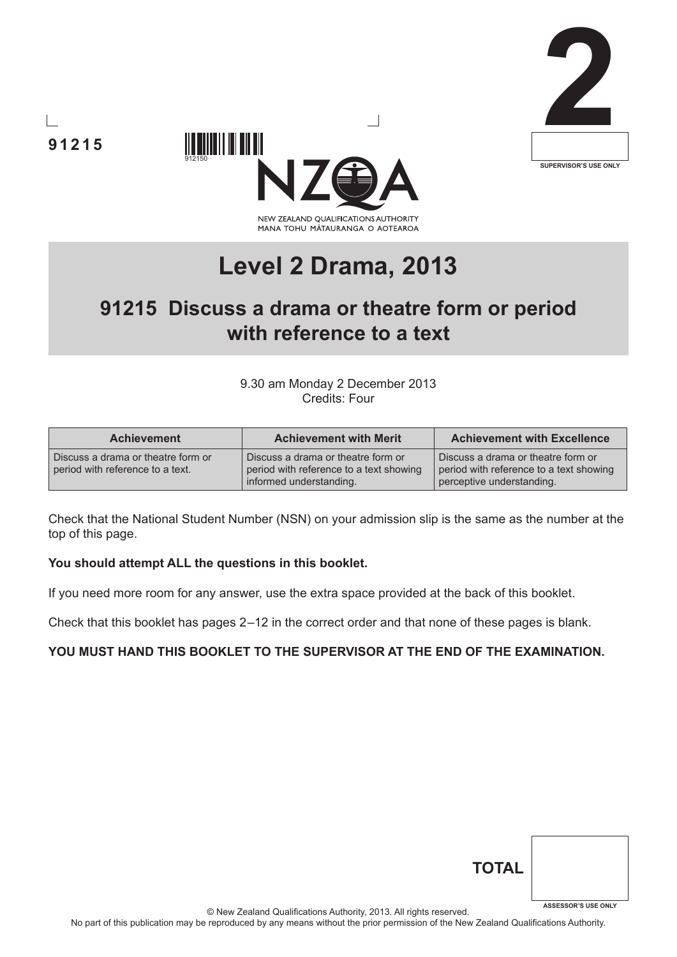





# **Level 2 Drama, 2013**

# **91215 Discuss a drama or theatre form or period with reference to a text**

9.30 am Monday 2 December 2013 Credits: Four

| <b>Achievement</b>                                                     | <b>Achievement with Merit</b>                                                                            | <b>Achievement with Excellence</b>                                                                         |  |  |
|------------------------------------------------------------------------|----------------------------------------------------------------------------------------------------------|------------------------------------------------------------------------------------------------------------|--|--|
| Discuss a drama or theatre form or<br>period with reference to a text. | Discuss a drama or theatre form or<br>period with reference to a text showing<br>informed understanding. | Discuss a drama or theatre form or<br>period with reference to a text showing<br>perceptive understanding. |  |  |

Check that the National Student Number (NSN) on your admission slip is the same as the number at the top of this page.

#### **You should attempt ALL the questions in this booklet.**

If you need more room for any answer, use the extra space provided at the back of this booklet.

Check that this booklet has pages 2 –12 in the correct order and that none of these pages is blank.

#### **YOU MUST HAND THIS BOOKLET TO THE SUPERVISOR AT THE END OF THE EXAMINATION.**

| <b>TOTAL</b> |                            |
|--------------|----------------------------|
|              |                            |
|              |                            |
|              | <b>ASSESSOR'S USE ONLY</b> |

© New Zealand Qualifications Authority, 2013. All rights reserved.

No part of this publication may be reproduced by any means without the prior permission of the New Zealand Qualifications Authority.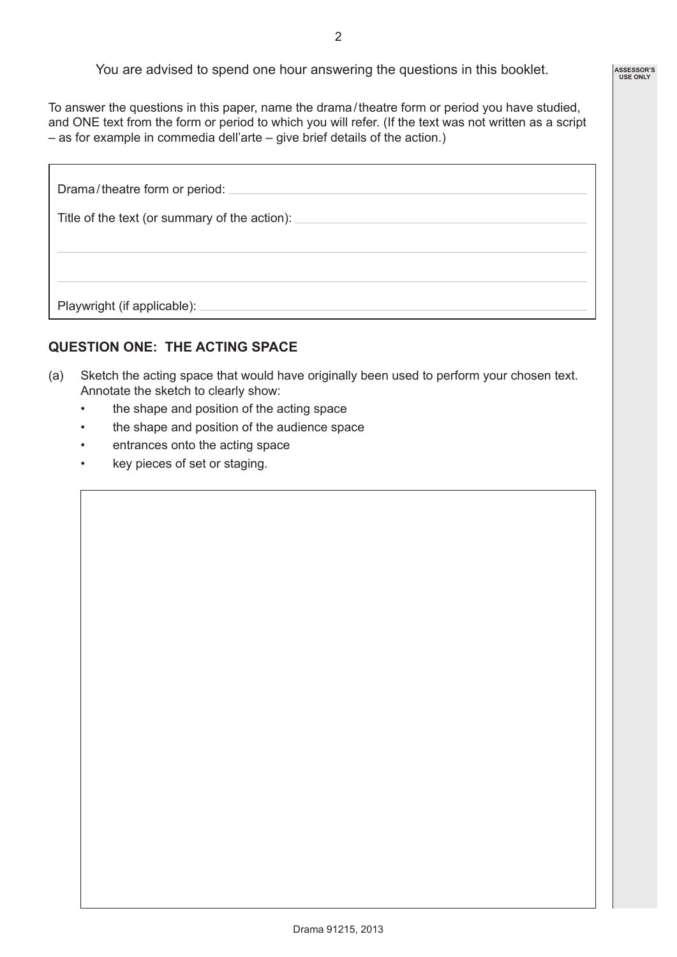You are advised to spend one hour answering the questions in this booklet.

To answer the questions in this paper, name the drama / theatre form or period you have studied, and ONE text from the form or period to which you will refer. (If the text was not written as a script – as for example in commedia dell'arte – give brief details of the action.)

| Drama/theatre form or period:                 |
|-----------------------------------------------|
| Title of the text (or summary of the action): |
|                                               |
|                                               |
|                                               |
| Playwright (if applicable):                   |

# **QUESTION ONE: THE ACTING SPACE**

- (a) Sketch the acting space that would have originally been used to perform your chosen text. Annotate the sketch to clearly show:
	- the shape and position of the acting space
	- the shape and position of the audience space
	- entrances onto the acting space
	- key pieces of set or staging.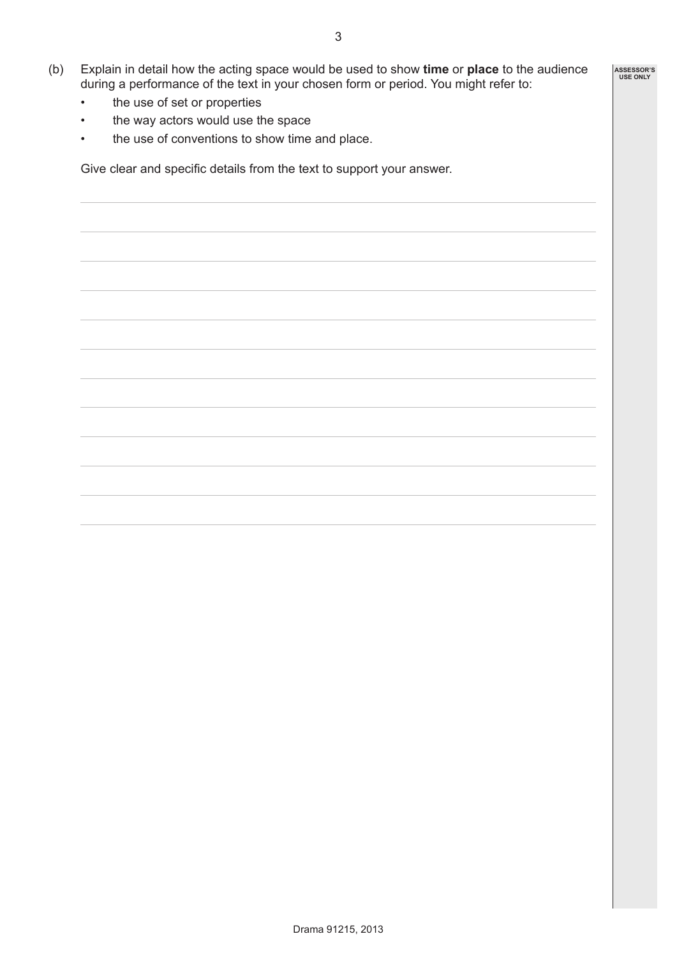- (b) Explain in detail how the acting space would be used to show **time** or **place** to the audience during a performance of the text in your chosen form or period. You might refer to:
	- the use of set or properties
	- the way actors would use the space
	- the use of conventions to show time and place.

Give clear and specific details from the text to support your answer.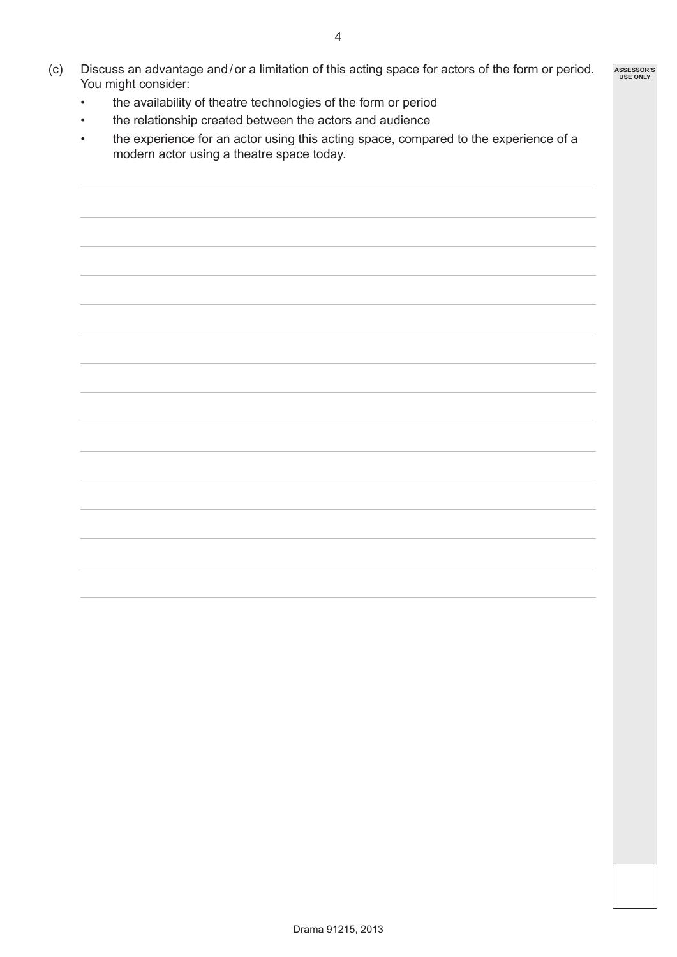- (c) Discuss an advantage and / or a limitation of this acting space for actors of the form or period. You might consider: **ASSESSOR'S USE ONLY**
	- the availability of theatre technologies of the form or period
	- the relationship created between the actors and audience
	- the experience for an actor using this acting space, compared to the experience of a modern actor using a theatre space today.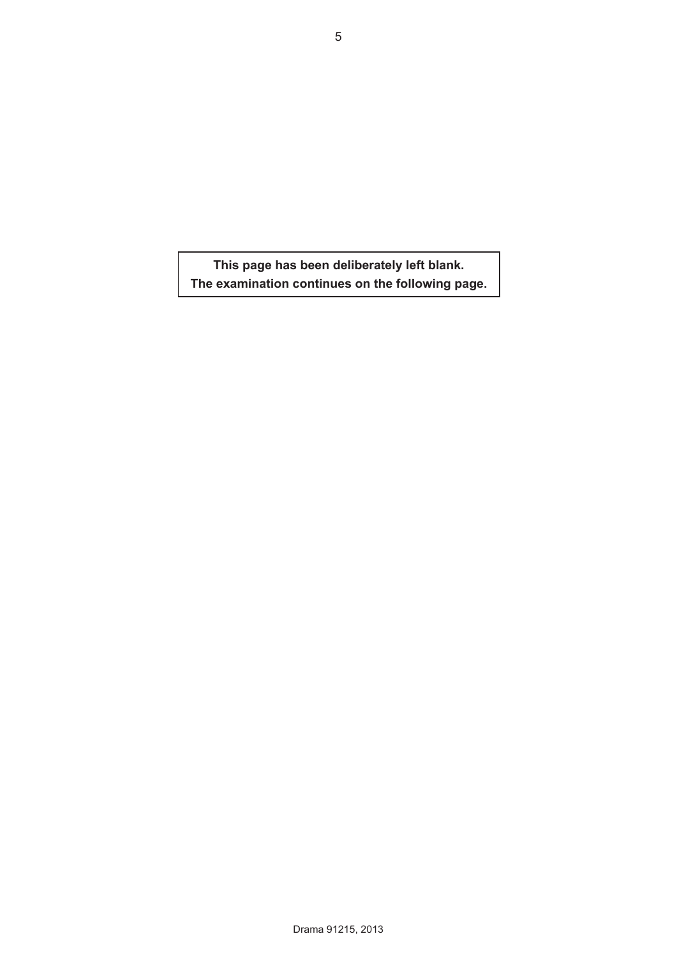**This page has been deliberately left blank. The examination continues on the following page.**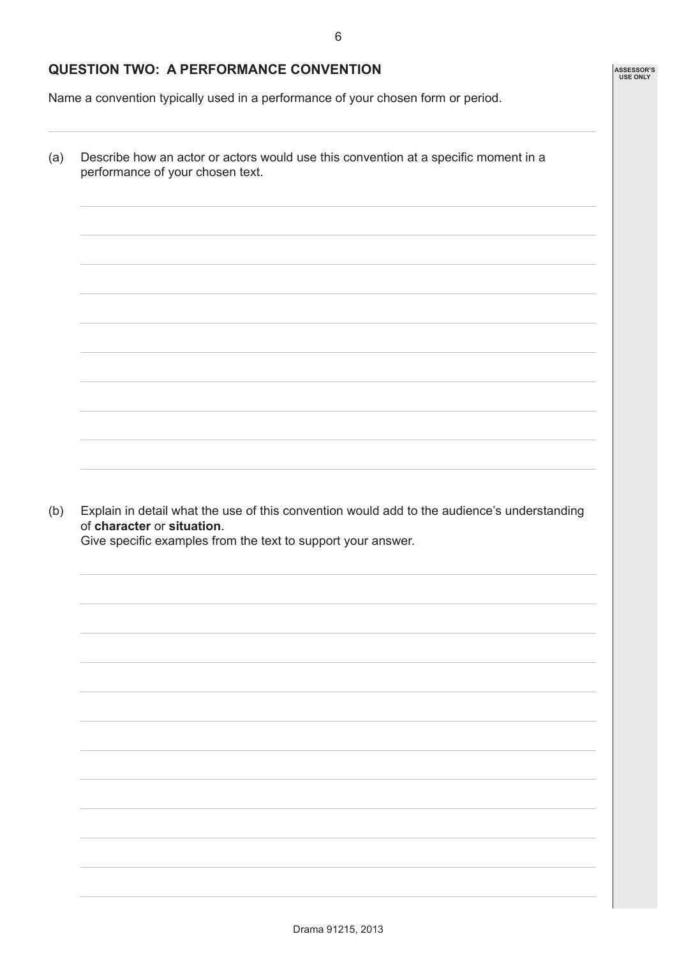# **QUESTION TWO: A PERFORMANCE CONVENTION**

Name a convention typically used in a performance of your chosen form or period.

| Describe how an actor or actors would use this convention at a specific moment in a<br>performance of your chosen text. |
|-------------------------------------------------------------------------------------------------------------------------|
|                                                                                                                         |
|                                                                                                                         |
|                                                                                                                         |
|                                                                                                                         |
|                                                                                                                         |
|                                                                                                                         |
|                                                                                                                         |
|                                                                                                                         |
| of character or situation.<br>Give specific examples from the text to support your answer.                              |
|                                                                                                                         |
|                                                                                                                         |
|                                                                                                                         |
|                                                                                                                         |
| Explain in detail what the use of this convention would add to the audience's understanding                             |
|                                                                                                                         |

**ASSESSOR'S USE ONLY**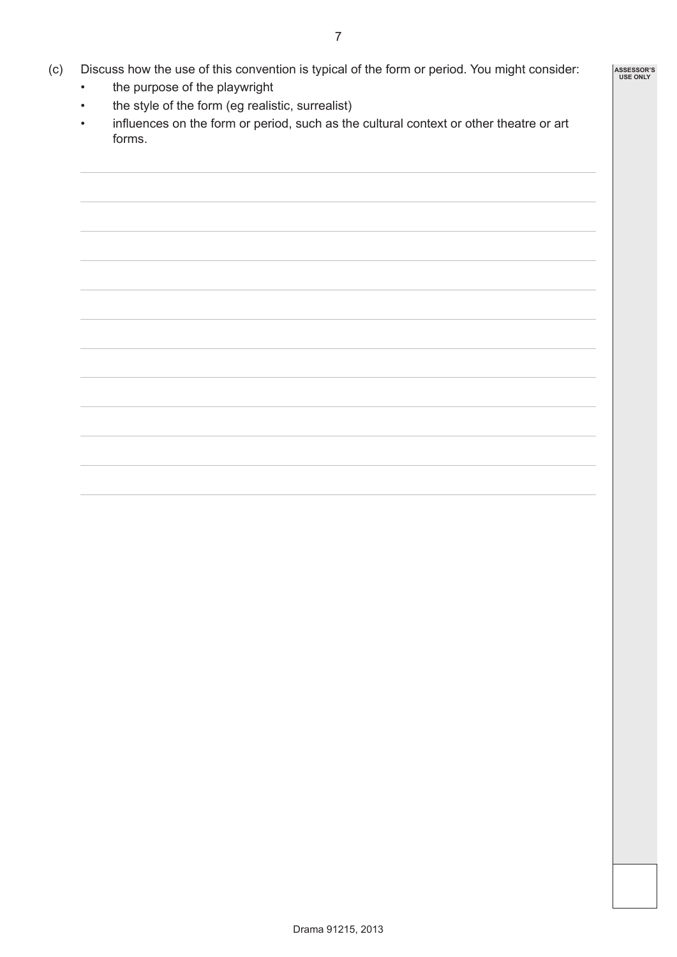- (c) Discuss how the use of this convention is typical of the form or period. You might consider:
	- the purpose of the playwright
	- the style of the form (eg realistic, surrealist)
	- influences on the form or period, such as the cultural context or other theatre or art forms.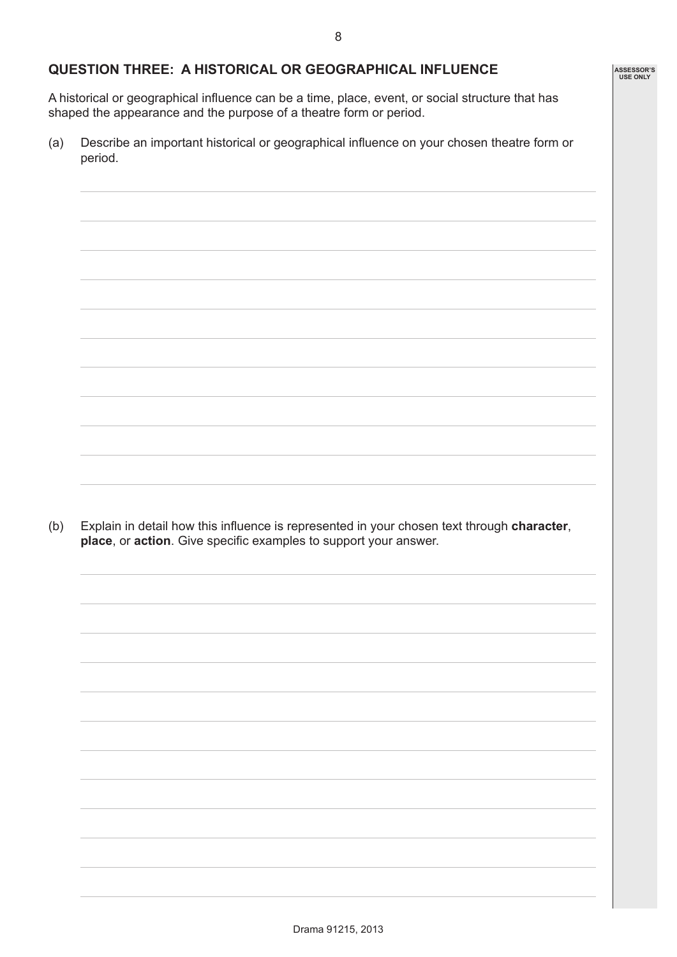## **QUESTION THREE: A HISTORICAL OR GEOGRAPHICAL INFLUENCE**

A historical or geographical influence can be a time, place, event, or social structure that has shaped the appearance and the purpose of a theatre form or period.

(a) Describe an important historical or geographical influence on your chosen theatre form or period.

(b) Explain in detail how this influence is represented in your chosen text through **character**, **place**, or **action**. Give specific examples to support your answer.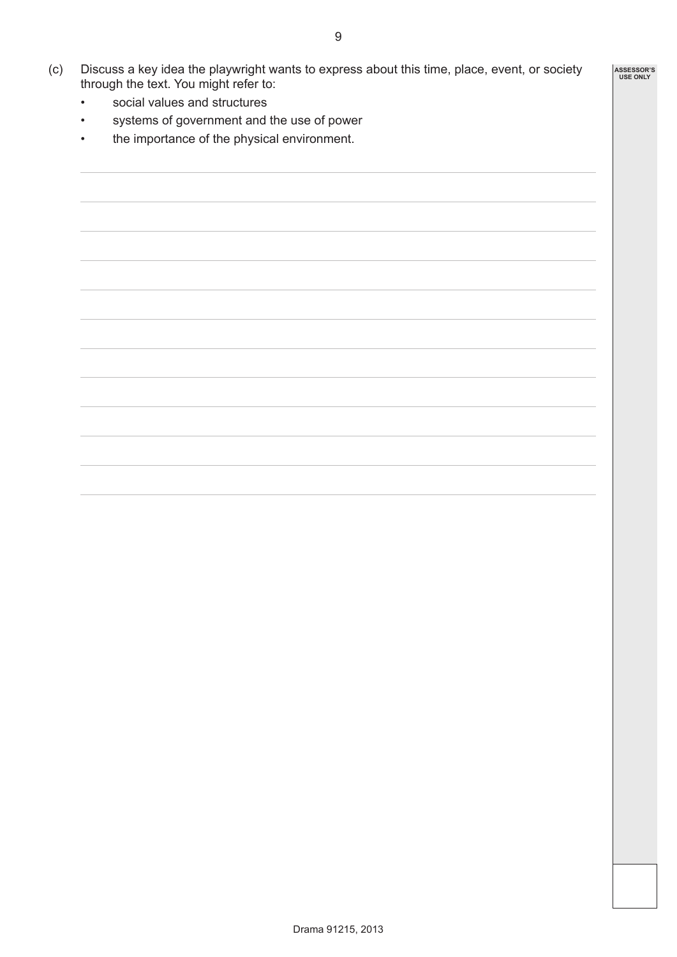- (c) Discuss a key idea the playwright wants to express about this time, place, event, or society through the text. You might refer to:
	- social values and structures
	- systems of government and the use of power
	- the importance of the physical environment.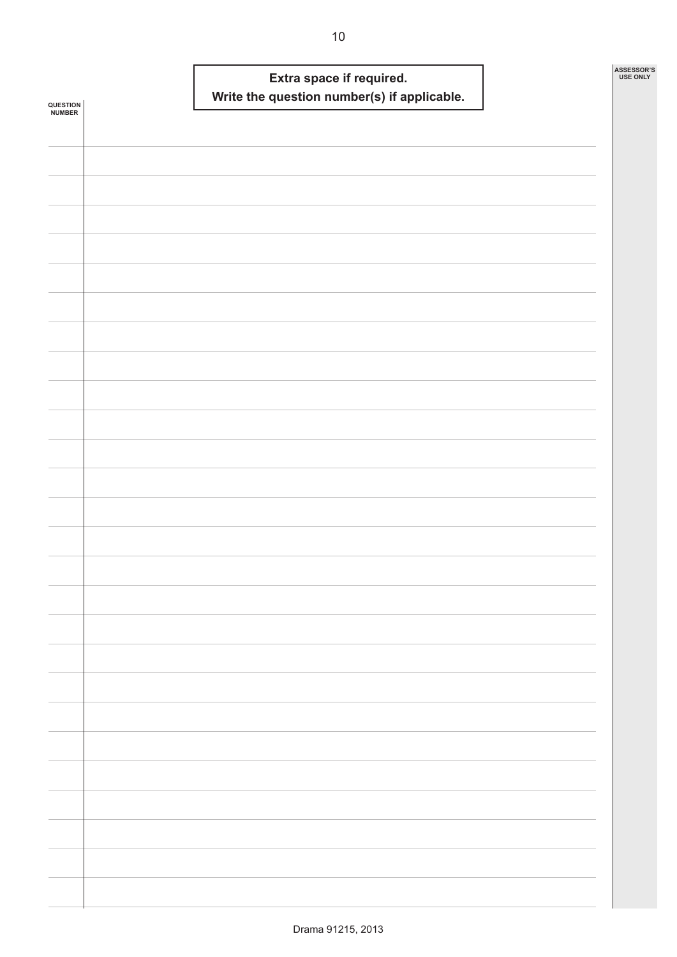| QUESTION<br><b>NUMBER</b> |  | Extra space if required. | Write the question number(s) if applicable. |  | ASSESSOR'S<br><b>USE ONLY</b> |
|---------------------------|--|--------------------------|---------------------------------------------|--|-------------------------------|
|                           |  |                          |                                             |  |                               |
|                           |  |                          |                                             |  |                               |
|                           |  |                          |                                             |  |                               |
|                           |  |                          |                                             |  |                               |
|                           |  |                          |                                             |  |                               |
|                           |  |                          |                                             |  |                               |
|                           |  |                          |                                             |  |                               |
|                           |  |                          |                                             |  |                               |
|                           |  |                          |                                             |  |                               |
|                           |  |                          |                                             |  |                               |
|                           |  |                          |                                             |  |                               |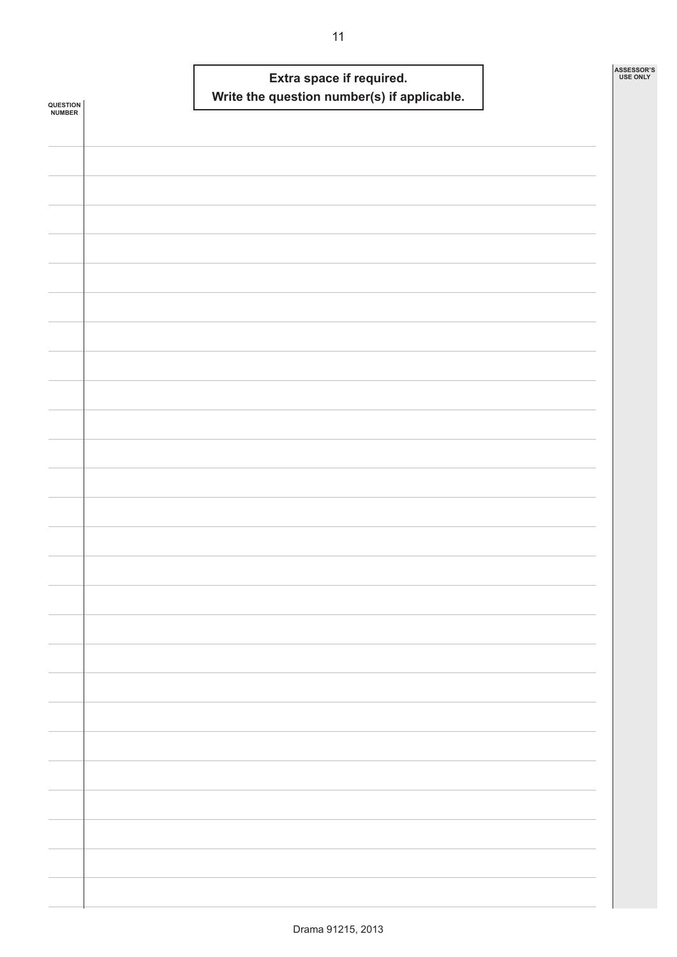| <b>USE ONLY</b> |
|-----------------|
|                 |
|                 |
|                 |
|                 |
|                 |
|                 |
|                 |
|                 |
|                 |
|                 |
|                 |
|                 |
|                 |
|                 |
|                 |